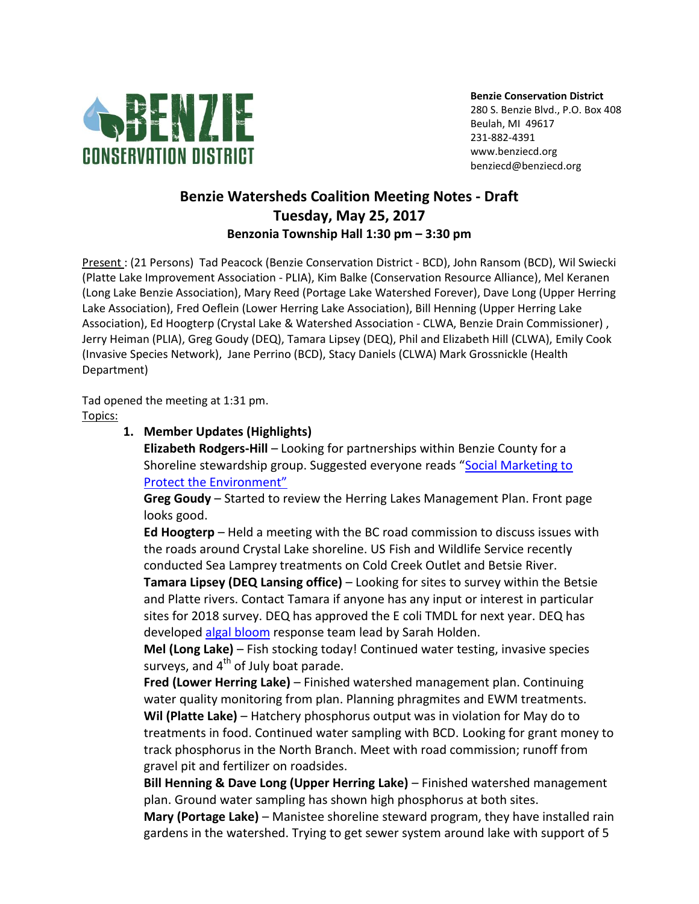

**Benzie Conservation District** 280 S. Benzie Blvd., P.O. Box 408 Beulah, MI 49617 231-882-4391 www.benziecd.org benziecd@benziecd.org

## **Benzie Watersheds Coalition Meeting Notes - Draft Tuesday, May 25, 2017 Benzonia Township Hall 1:30 pm – 3:30 pm**

Present : (21 Persons) Tad Peacock (Benzie Conservation District - BCD), John Ransom (BCD), Wil Swiecki (Platte Lake Improvement Association - PLIA), Kim Balke (Conservation Resource Alliance), Mel Keranen (Long Lake Benzie Association), Mary Reed (Portage Lake Watershed Forever), Dave Long (Upper Herring Lake Association), Fred Oeflein (Lower Herring Lake Association), Bill Henning (Upper Herring Lake Association), Ed Hoogterp (Crystal Lake & Watershed Association - CLWA, Benzie Drain Commissioner) , Jerry Heiman (PLIA), Greg Goudy (DEQ), Tamara Lipsey (DEQ), Phil and Elizabeth Hill (CLWA), Emily Cook (Invasive Species Network), Jane Perrino (BCD), Stacy Daniels (CLWA) Mark Grossnickle (Health Department)

Tad opened the meeting at 1:31 pm. Topics:

## **1. Member Updates (Highlights)**

**Elizabeth Rodgers-Hill** – Looking for partnerships within Benzie County for a Shoreline stewardship group. Suggested everyone reads "[Social Marketing to](https://us.sagepub.com/en-us/nam/social-marketing-to-protect-the-environment/book235188)  [Protect the Environment"](https://us.sagepub.com/en-us/nam/social-marketing-to-protect-the-environment/book235188)

**Greg Goudy** – Started to review the Herring Lakes Management Plan. Front page looks good.

**Ed Hoogterp** – Held a meeting with the BC road commission to discuss issues with the roads around Crystal Lake shoreline. US Fish and Wildlife Service recently conducted Sea Lamprey treatments on Cold Creek Outlet and Betsie River.

**Tamara Lipsey (DEQ Lansing office)** – Looking for sites to survey within the Betsie and Platte rivers. Contact Tamara if anyone has any input or interest in particular sites for 2018 survey. DEQ has approved the E coli TMDL for next year. DEQ has developed [algal bloom](http://www.michigan.gov/deq/0,4561,7-135-3313_3681_3686_3728-383630--,00.html) response team lead by Sarah Holden.

**Mel (Long Lake)** – Fish stocking today! Continued water testing, invasive species surveys, and  $4<sup>th</sup>$  of July boat parade.

**Fred (Lower Herring Lake)** – Finished watershed management plan. Continuing water quality monitoring from plan. Planning phragmites and EWM treatments. **Wil (Platte Lake)** – Hatchery phosphorus output was in violation for May do to treatments in food. Continued water sampling with BCD. Looking for grant money to track phosphorus in the North Branch. Meet with road commission; runoff from gravel pit and fertilizer on roadsides.

**Bill Henning & Dave Long (Upper Herring Lake)** – Finished watershed management plan. Ground water sampling has shown high phosphorus at both sites.

**Mary (Portage Lake)** – Manistee shoreline steward program, they have installed rain gardens in the watershed. Trying to get sewer system around lake with support of 5